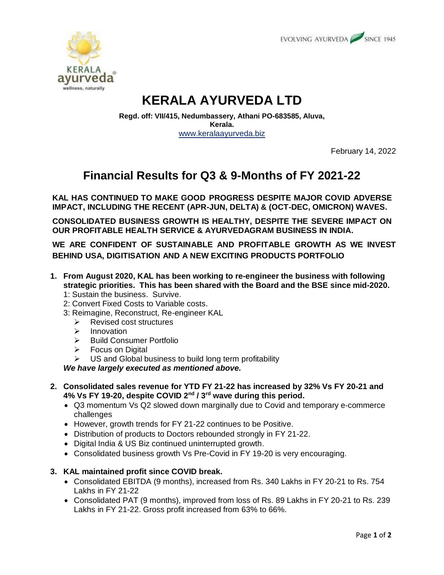



# **KERALA AYURVEDA LTD**

**Regd. off: VII/415, Nedumbassery, Athani PO-683585, Aluva, Kerala.** [www.keralaayurveda.biz](http://www.keralaayurveda.biz/)

February 14, 2022

## **Financial Results for Q3 & 9-Months of FY 2021-22**

**KAL HAS CONTINUED TO MAKE GOOD PROGRESS DESPITE MAJOR COVID ADVERSE IMPACT, INCLUDING THE RECENT (APR-JUN, DELTA) & (OCT-DEC, OMICRON) WAVES.**

**CONSOLIDATED BUSINESS GROWTH IS HEALTHY, DESPITE THE SEVERE IMPACT ON OUR PROFITABLE HEALTH SERVICE & AYURVEDAGRAM BUSINESS IN INDIA.**

**WE ARE CONFIDENT OF SUSTAINABLE AND PROFITABLE GROWTH AS WE INVEST BEHIND USA, DIGITISATION AND A NEW EXCITING PRODUCTS PORTFOLIO**

- **1. From August 2020, KAL has been working to re-engineer the business with following strategic priorities. This has been shared with the Board and the BSE since mid-2020.**
	- 1: Sustain the business. Survive.
	- 2: Convert Fixed Costs to Variable costs.
	- 3: Reimagine, Reconstruct, Re-engineer KAL
		- $\triangleright$  Revised cost structures
		- $\triangleright$  Innovation
		- $\triangleright$  Build Consumer Portfolio
		- $\triangleright$  Focus on Digital
		- $\triangleright$  US and Global business to build long term profitability

*We have largely executed as mentioned above.*

- **2. Consolidated sales revenue for YTD FY 21-22 has increased by 32% Vs FY 20-21 and 4% Vs FY 19-20, despite COVID 2nd / 3rd wave during this period.**
	- Q3 momentum Vs Q2 slowed down marginally due to Covid and temporary e-commerce challenges
	- However, growth trends for FY 21-22 continues to be Positive.
	- Distribution of products to Doctors rebounded strongly in FY 21-22.
	- Digital India & US Biz continued uninterrupted growth.
	- Consolidated business growth Vs Pre-Covid in FY 19-20 is very encouraging.
- **3. KAL maintained profit since COVID break.**
	- Consolidated EBITDA (9 months), increased from Rs. 340 Lakhs in FY 20-21 to Rs. 754 Lakhs in FY 21-22
	- Consolidated PAT (9 months), improved from loss of Rs. 89 Lakhs in FY 20-21 to Rs. 239 Lakhs in FY 21-22. Gross profit increased from 63% to 66%.